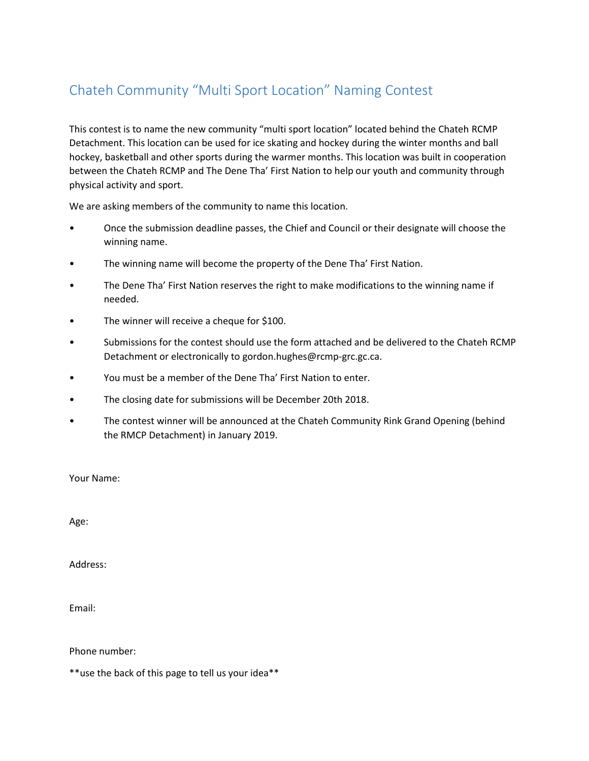## Chateh Community "Multi Sport Location" Naming Contest

This contest is to name the new community "multi sport location" located behind the Chateh RCMP Detachment. This location can be used for ice skating and hockey during the winter months and ball hockey, basketball and other sports during the warmer months. This location was built in cooperation between the Chateh RCMP and The Dene Tha' First Nation to help our youth and community through physical activity and sport.

We are asking members of the community to name this location.

- Once the submission deadline passes, the Chief and Council or their designate will choose the winning name.
- The winning name will become the property of the Dene Tha' First Nation.
- The Dene Tha' First Nation reserves the right to make modifications to the winning name if needed.
- The winner will receive a cheque for \$100.
- Submissions for the contest should use the form attached and be delivered to the Chateh RCMP Detachment or electronically to gordon.hughes@rcmp-grc.gc.ca.
- You must be a member of the Dene Tha' First Nation to enter.
- The closing date for submissions will be December 20th 2018.
- The contest winner will be announced at the Chateh Community Rink Grand Opening (behind the RMCP Detachment) in January 2019.

Your Name:

Age:

Address:

Email:

Phone number:

\*\*use the back of this page to tell us your idea\*\*